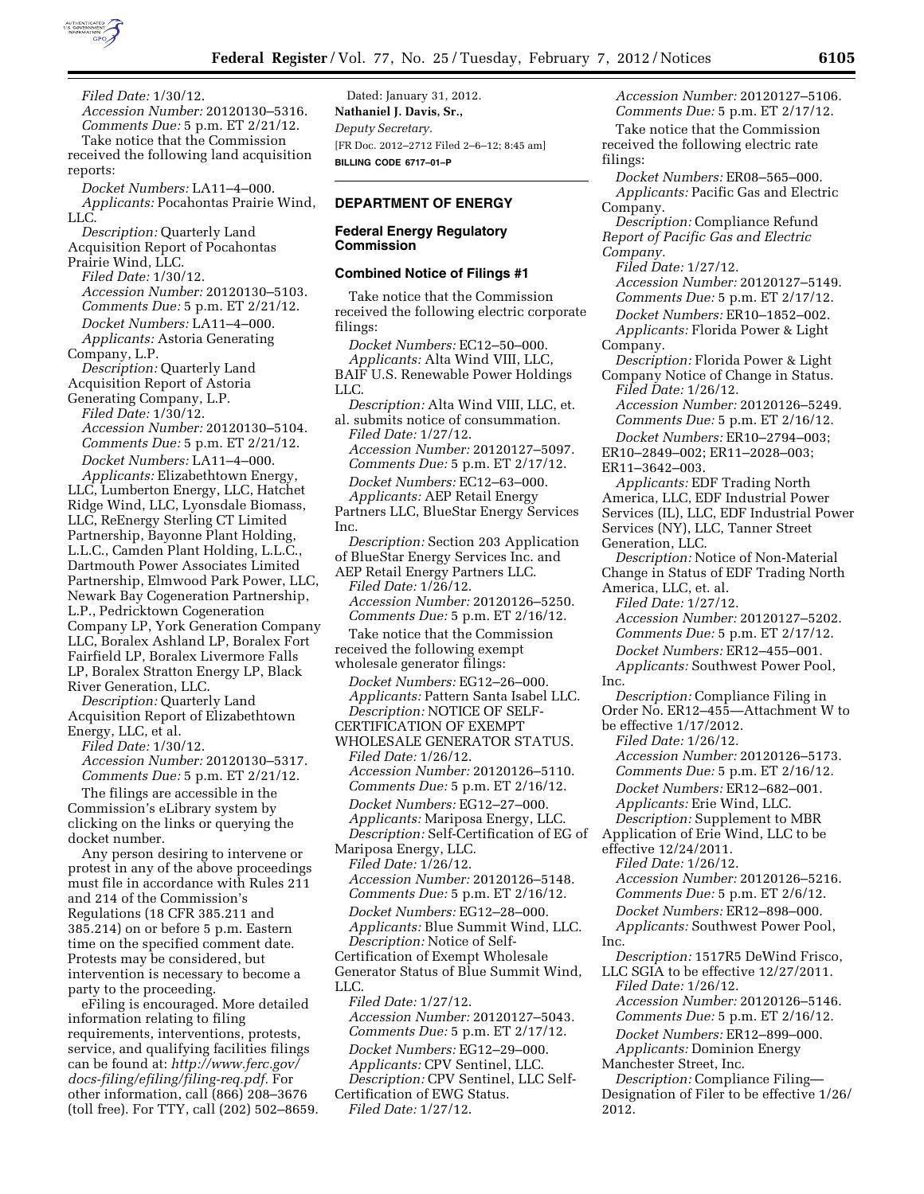

*Filed Date:* 1/30/12. *Accession Number:* 20120130–5316. *Comments Due:* 5 p.m. ET 2/21/12. Take notice that the Commission received the following land acquisition reports:

*Docket Numbers:* LA11–4–000.

*Applicants:* Pocahontas Prairie Wind, LLC.

*Description:* Quarterly Land Acquisition Report of Pocahontas Prairie Wind, LLC.

*Filed Date:* 1/30/12. *Accession Number:* 20120130–5103. *Comments Due:* 5 p.m. ET 2/21/12.

*Docket Numbers:* LA11–4–000. *Applicants:* Astoria Generating Company, L.P.

*Description:* Quarterly Land Acquisition Report of Astoria

Generating Company, L.P. *Filed Date:* 1/30/12. *Accession Number:* 20120130–5104. *Comments Due:* 5 p.m. ET 2/21/12. *Docket Numbers:* LA11–4–000.

*Applicants:* Elizabethtown Energy, LLC, Lumberton Energy, LLC, Hatchet Ridge Wind, LLC, Lyonsdale Biomass, LLC, ReEnergy Sterling CT Limited Partnership, Bayonne Plant Holding, L.L.C., Camden Plant Holding, L.L.C., Dartmouth Power Associates Limited Partnership, Elmwood Park Power, LLC, Newark Bay Cogeneration Partnership, L.P., Pedricktown Cogeneration Company LP, York Generation Company LLC, Boralex Ashland LP, Boralex Fort Fairfield LP, Boralex Livermore Falls LP, Boralex Stratton Energy LP, Black River Generation, LLC.

*Description:* Quarterly Land Acquisition Report of Elizabethtown Energy, LLC, et al.

*Filed Date:* 1/30/12.

*Accession Number:* 20120130–5317. *Comments Due:* 5 p.m. ET 2/21/12.

The filings are accessible in the Commission's eLibrary system by clicking on the links or querying the docket number.

Any person desiring to intervene or protest in any of the above proceedings must file in accordance with Rules 211 and 214 of the Commission's Regulations (18 CFR 385.211 and 385.214) on or before 5 p.m. Eastern time on the specified comment date. Protests may be considered, but intervention is necessary to become a party to the proceeding.

eFiling is encouraged. More detailed information relating to filing requirements, interventions, protests, service, and qualifying facilities filings can be found at: *[http://www.ferc.gov/](http://www.ferc.gov/docs-filing/efiling/filing-req.pdf)  [docs-filing/efiling/filing-req.pdf.](http://www.ferc.gov/docs-filing/efiling/filing-req.pdf)* For other information, call (866) 208–3676 (toll free). For TTY, call (202) 502–8659.

Dated: January 31, 2012. **Nathaniel J. Davis, Sr.,**  *Deputy Secretary.*  [FR Doc. 2012–2712 Filed 2–6–12; 8:45 am] **BILLING CODE 6717–01–P** 

# **DEPARTMENT OF ENERGY**

## **Federal Energy Regulatory Commission**

### **Combined Notice of Filings #1**

Take notice that the Commission received the following electric corporate filings:

*Docket Numbers:* EC12–50–000. *Applicants:* Alta Wind VIII, LLC, BAIF U.S. Renewable Power Holdings LLC.

*Description:* Alta Wind VIII, LLC, et. al. submits notice of consummation. *Filed Date:* 1/27/12. *Accession Number:* 20120127–5097. *Comments Due:* 5 p.m. ET 2/17/12. *Docket Numbers:* EC12–63–000. *Applicants:* AEP Retail Energy Partners LLC, BlueStar Energy Services

Inc. *Description:* Section 203 Application

of BlueStar Energy Services Inc. and AEP Retail Energy Partners LLC. *Filed Date:* 1/26/12. *Accession Number:* 20120126–5250. *Comments Due:* 5 p.m. ET 2/16/12.

Take notice that the Commission received the following exempt

wholesale generator filings:

*Docket Numbers:* EG12–26–000. *Applicants:* Pattern Santa Isabel LLC. *Description:* NOTICE OF SELF-CERTIFICATION OF EXEMPT WHOLESALE GENERATOR STATUS.

*Filed Date:* 1/26/12. *Accession Number:* 20120126–5110. *Comments Due:* 5 p.m. ET 2/16/12. *Docket Numbers:* EG12–27–000. *Applicants:* Mariposa Energy, LLC. *Description:* Self-Certification of EG of

Mariposa Energy, LLC. *Filed Date:* 1/26/12. *Accession Number:* 20120126–5148. *Comments Due:* 5 p.m. ET 2/16/12. *Docket Numbers:* EG12–28–000. *Applicants:* Blue Summit Wind, LLC. *Description:* Notice of Self-Certification of Exempt Wholesale Generator Status of Blue Summit Wind, LLC.

*Filed Date:* 1/27/12. *Accession Number:* 20120127–5043. *Comments Due:* 5 p.m. ET 2/17/12. *Docket Numbers:* EG12–29–000. *Applicants:* CPV Sentinel, LLC. *Description:* CPV Sentinel, LLC Self-Certification of EWG Status. *Filed Date:* 1/27/12.

*Accession Number:* 20120127–5106. *Comments Due:* 5 p.m. ET 2/17/12. Take notice that the Commission received the following electric rate filings:

*Docket Numbers:* ER08–565–000. *Applicants:* Pacific Gas and Electric Company.

*Description:* Compliance Refund *Report of Pacific Gas and Electric Company.* 

*Filed Date:* 1/27/12. *Accession Number:* 20120127–5149. *Comments Due:* 5 p.m. ET 2/17/12. *Docket Numbers:* ER10–1852–002. *Applicants:* Florida Power & Light Company.

*Description:* Florida Power & Light Company Notice of Change in Status. *Filed Date:* 1/26/12. *Accession Number:* 20120126–5249.

*Comments Due:* 5 p.m. ET 2/16/12.

*Docket Numbers:* ER10–2794–003; ER10–2849–002; ER11–2028–003;

ER11–3642–003.

*Applicants:* EDF Trading North America, LLC, EDF Industrial Power Services (IL), LLC, EDF Industrial Power Services (NY), LLC, Tanner Street Generation, LLC. *Description:* Notice of Non-Material

Change in Status of EDF Trading North America, LLC, et. al.

*Filed Date:* 1/27/12.

*Accession Number:* 20120127–5202. *Comments Due:* 5 p.m. ET 2/17/12.

*Docket Numbers:* ER12–455–001. *Applicants:* Southwest Power Pool,

Inc.

*Description:* Compliance Filing in Order No. ER12–455—Attachment W to be effective 1/17/2012.

*Filed Date:* 1/26/12.

*Accession Number:* 20120126–5173. *Comments Due:* 5 p.m. ET 2/16/12. *Docket Numbers:* ER12–682–001.

*Applicants:* Erie Wind, LLC. *Description:* Supplement to MBR

Application of Erie Wind, LLC to be

effective 12/24/2011.

*Filed Date:* 1/26/12. *Accession Number:* 20120126–5216.

*Comments Due:* 5 p.m. ET 2/6/12.

*Docket Numbers:* ER12–898–000.

*Applicants:* Southwest Power Pool, Inc.

*Description:* 1517R5 DeWind Frisco, LLC SGIA to be effective 12/27/2011.

*Filed Date:* 1/26/12. *Accession Number:* 20120126–5146.

*Comments Due:* 5 p.m. ET 2/16/12.

*Docket Numbers:* ER12–899–000.

*Applicants:* Dominion Energy Manchester Street, Inc.

*Description:* Compliance Filing— Designation of Filer to be effective 1/26/ 2012.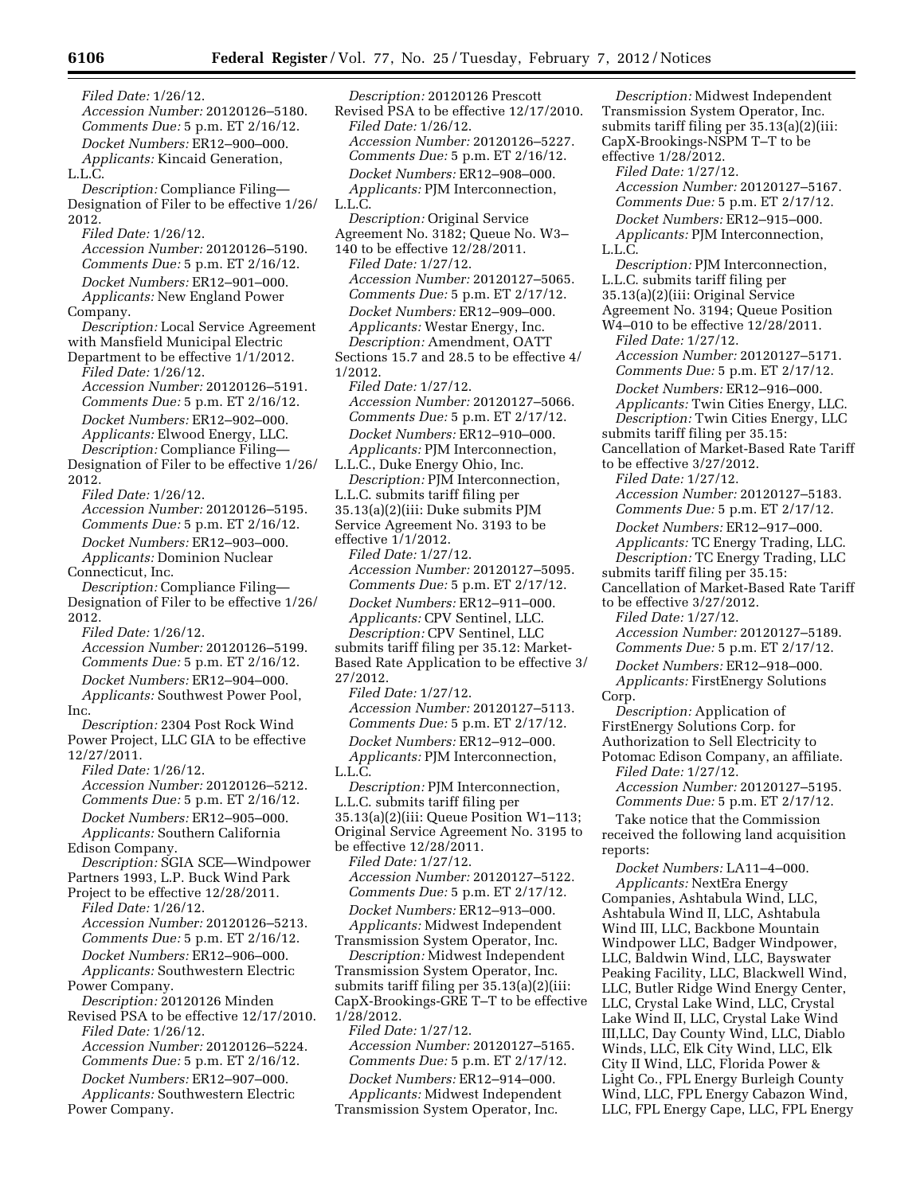*Filed Date:* 1/26/12. *Accession Number:* 20120126–5180. *Comments Due:* 5 p.m. ET 2/16/12. *Docket Numbers:* ER12–900–000. *Applicants:* Kincaid Generation, L.L.C. *Description:* Compliance Filing— Designation of Filer to be effective 1/26/ 2012. *Filed Date:* 1/26/12. *Accession Number:* 20120126–5190. *Comments Due:* 5 p.m. ET 2/16/12. *Docket Numbers:* ER12–901–000. *Applicants:* New England Power Company. *Description:* Local Service Agreement with Mansfield Municipal Electric Department to be effective 1/1/2012. *Filed Date:* 1/26/12. *Accession Number:* 20120126–5191. *Comments Due:* 5 p.m. ET 2/16/12. *Docket Numbers:* ER12–902–000. *Applicants:* Elwood Energy, LLC. *Description:* Compliance Filing— Designation of Filer to be effective 1/26/ 2012. *Filed Date:* 1/26/12. *Accession Number:* 20120126–5195. *Comments Due:* 5 p.m. ET 2/16/12. *Docket Numbers:* ER12–903–000. *Applicants:* Dominion Nuclear Connecticut, Inc. *Description:* Compliance Filing— Designation of Filer to be effective 1/26/ 2012. *Filed Date:* 1/26/12. *Accession Number:* 20120126–5199. *Comments Due:* 5 p.m. ET 2/16/12. *Docket Numbers:* ER12–904–000. *Applicants:* Southwest Power Pool, Inc. *Description:* 2304 Post Rock Wind Power Project, LLC GIA to be effective 12/27/2011. *Filed Date:* 1/26/12. *Accession Number:* 20120126–5212. *Comments Due:* 5 p.m. ET 2/16/12. *Docket Numbers:* ER12–905–000. *Applicants:* Southern California Edison Company. *Description:* SGIA SCE—Windpower Partners 1993, L.P. Buck Wind Park Project to be effective 12/28/2011. *Filed Date:* 1/26/12. *Accession Number:* 20120126–5213. *Comments Due:* 5 p.m. ET 2/16/12. *Docket Numbers:* ER12–906–000. *Applicants:* Southwestern Electric Power Company. *Description:* 20120126 Minden Revised PSA to be effective 12/17/2010. *Filed Date:* 1/26/12. *Accession Number:* 20120126–5224. *Comments Due:* 5 p.m. ET 2/16/12. *Docket Numbers:* ER12–907–000. *Applicants:* Southwestern Electric Power Company.

*Description:* 20120126 Prescott Revised PSA to be effective 12/17/2010. *Filed Date:* 1/26/12. *Accession Number:* 20120126–5227. *Comments Due:* 5 p.m. ET 2/16/12. *Docket Numbers:* ER12–908–000. *Applicants:* PJM Interconnection, L.L.C. *Description:* Original Service Agreement No. 3182; Queue No. W3– 140 to be effective 12/28/2011. *Filed Date:* 1/27/12. *Accession Number:* 20120127–5065. *Comments Due:* 5 p.m. ET 2/17/12. *Docket Numbers:* ER12–909–000. *Applicants:* Westar Energy, Inc. *Description:* Amendment, OATT Sections 15.7 and 28.5 to be effective 4/ 1/2012. *Filed Date:* 1/27/12. *Accession Number:* 20120127–5066. *Comments Due:* 5 p.m. ET 2/17/12. *Docket Numbers:* ER12–910–000. *Applicants:* PJM Interconnection, L.L.C., Duke Energy Ohio, Inc. *Description:* PJM Interconnection, L.L.C. submits tariff filing per 35.13(a)(2)(iii: Duke submits PJM Service Agreement No. 3193 to be effective 1/1/2012. *Filed Date:* 1/27/12. *Accession Number:* 20120127–5095. *Comments Due:* 5 p.m. ET 2/17/12. *Docket Numbers:* ER12–911–000. *Applicants:* CPV Sentinel, LLC. *Description:* CPV Sentinel, LLC submits tariff filing per 35.12: Market-Based Rate Application to be effective 3/ 27/2012. *Filed Date:* 1/27/12. *Accession Number:* 20120127–5113. *Comments Due:* 5 p.m. ET 2/17/12. *Docket Numbers:* ER12–912–000. *Applicants:* PJM Interconnection, L.L.C. *Description:* PJM Interconnection, L.L.C. submits tariff filing per 35.13(a)(2)(iii: Queue Position W1–113; Original Service Agreement No. 3195 to be effective 12/28/2011. *Filed Date:* 1/27/12. *Accession Number:* 20120127–5122. *Comments Due:* 5 p.m. ET 2/17/12. *Docket Numbers:* ER12–913–000. *Applicants:* Midwest Independent Transmission System Operator, Inc. *Description:* Midwest Independent Transmission System Operator, Inc. submits tariff filing per 35.13(a)(2)(iii: CapX-Brookings-GRE T–T to be effective 1/28/2012. *Filed Date:* 1/27/12. *Accession Number:* 20120127–5165.

*Comments Due:* 5 p.m. ET 2/17/12. *Docket Numbers:* ER12–914–000. *Applicants:* Midwest Independent Transmission System Operator, Inc.

*Description:* Midwest Independent Transmission System Operator, Inc. submits tariff filing per 35.13(a)(2)(iii: CapX-Brookings-NSPM T–T to be effective 1/28/2012. *Filed Date:* 1/27/12. *Accession Number:* 20120127–5167. *Comments Due:* 5 p.m. ET 2/17/12. *Docket Numbers:* ER12–915–000. *Applicants:* PJM Interconnection, L.L.C. *Description:* PJM Interconnection, L.L.C. submits tariff filing per 35.13(a)(2)(iii: Original Service Agreement No. 3194; Queue Position W4–010 to be effective 12/28/2011. *Filed Date:* 1/27/12. *Accession Number:* 20120127–5171. *Comments Due:* 5 p.m. ET 2/17/12. *Docket Numbers:* ER12–916–000. *Applicants:* Twin Cities Energy, LLC. *Description:* Twin Cities Energy, LLC submits tariff filing per 35.15: Cancellation of Market-Based Rate Tariff to be effective 3/27/2012. *Filed Date:* 1/27/12. *Accession Number:* 20120127–5183. *Comments Due:* 5 p.m. ET 2/17/12. *Docket Numbers:* ER12–917–000. *Applicants:* TC Energy Trading, LLC. *Description:* TC Energy Trading, LLC submits tariff filing per 35.15: Cancellation of Market-Based Rate Tariff to be effective 3/27/2012. *Filed Date:* 1/27/12. *Accession Number:* 20120127–5189. *Comments Due:* 5 p.m. ET 2/17/12. *Docket Numbers:* ER12–918–000. *Applicants:* FirstEnergy Solutions Corp. *Description:* Application of FirstEnergy Solutions Corp. for Authorization to Sell Electricity to Potomac Edison Company, an affiliate. *Filed Date:* 1/27/12. *Accession Number:* 20120127–5195. *Comments Due:* 5 p.m. ET 2/17/12. Take notice that the Commission received the following land acquisition reports: *Docket Numbers:* LA11–4–000. *Applicants:* NextEra Energy Companies, Ashtabula Wind, LLC, Ashtabula Wind II, LLC, Ashtabula Wind III, LLC, Backbone Mountain Windpower LLC, Badger Windpower, LLC, Baldwin Wind, LLC, Bayswater

Peaking Facility, LLC, Blackwell Wind, LLC, Butler Ridge Wind Energy Center, LLC, Crystal Lake Wind, LLC, Crystal Lake Wind II, LLC, Crystal Lake Wind III,LLC, Day County Wind, LLC, Diablo Winds, LLC, Elk City Wind, LLC, Elk City II Wind, LLC, Florida Power & Light Co., FPL Energy Burleigh County Wind, LLC, FPL Energy Cabazon Wind, LLC, FPL Energy Cape, LLC, FPL Energy